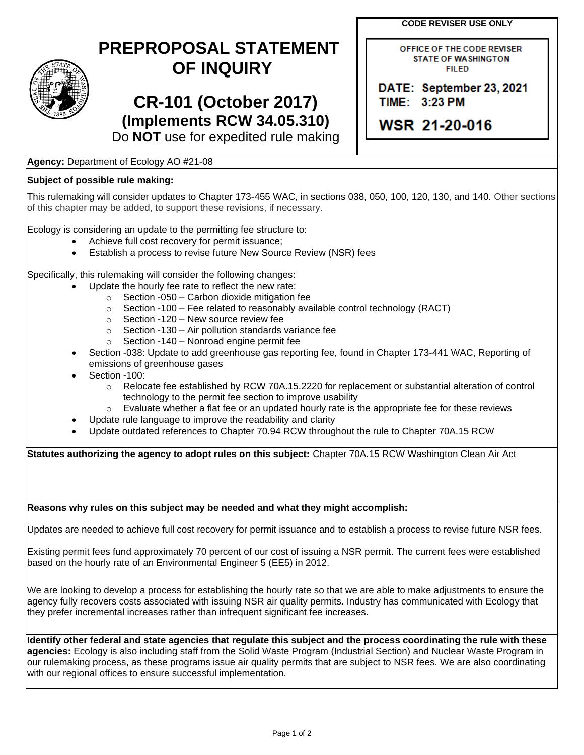**CODE REVISER USE ONLY**

OFFICE OF THE CODE REVISER **STATE OF WASHINGTON FILED** 

DATE: September 23, 2021

TIME: 3:23 PM

WSR 21-20-016



## **PREPROPOSAL STATEMENT OF INQUIRY**

**CR-101 (October 2017) (Implements RCW 34.05.310)** Do **NOT** use for expedited rule making

## **Agency:** Department of Ecology AO #21-08

## **Subject of possible rule making:**

This rulemaking will consider updates to Chapter 173-455 WAC, in sections 038, 050, 100, 120, 130, and 140. Other sections of this chapter may be added, to support these revisions, if necessary.

Ecology is considering an update to the permitting fee structure to:

- Achieve full cost recovery for permit issuance;
- Establish a process to revise future New Source Review (NSR) fees

Specifically, this rulemaking will consider the following changes:

- Update the hourly fee rate to reflect the new rate:
	- $\circ$  Section -050 Carbon dioxide mitigation fee
	- $\circ$  Section -100 Fee related to reasonably available control technology (RACT)
	- o Section -120 New source review fee
	- $\circ$  Section -130 Air pollution standards variance fee
	- o Section -140 Nonroad engine permit fee
- Section -038: Update to add greenhouse gas reporting fee, found in Chapter 173-441 WAC, Reporting of emissions of greenhouse gases
- Section -100:
	- o Relocate fee established by RCW 70A.15.2220 for replacement or substantial alteration of control technology to the permit fee section to improve usability
	- $\circ$  Evaluate whether a flat fee or an updated hourly rate is the appropriate fee for these reviews
	- Update rule language to improve the readability and clarity
- Update outdated references to Chapter 70.94 RCW throughout the rule to Chapter 70A.15 RCW

**Statutes authorizing the agency to adopt rules on this subject:** Chapter 70A.15 RCW Washington Clean Air Act

**Reasons why rules on this subject may be needed and what they might accomplish:** 

Updates are needed to achieve full cost recovery for permit issuance and to establish a process to revise future NSR fees.

Existing permit fees fund approximately 70 percent of our cost of issuing a NSR permit. The current fees were established based on the hourly rate of an Environmental Engineer 5 (EE5) in 2012.

We are looking to develop a process for establishing the hourly rate so that we are able to make adjustments to ensure the agency fully recovers costs associated with issuing NSR air quality permits. Industry has communicated with Ecology that they prefer incremental increases rather than infrequent significant fee increases.

**Identify other federal and state agencies that regulate this subject and the process coordinating the rule with these agencies:** Ecology is also including staff from the Solid Waste Program (Industrial Section) and Nuclear Waste Program in our rulemaking process, as these programs issue air quality permits that are subject to NSR fees. We are also coordinating with our regional offices to ensure successful implementation.